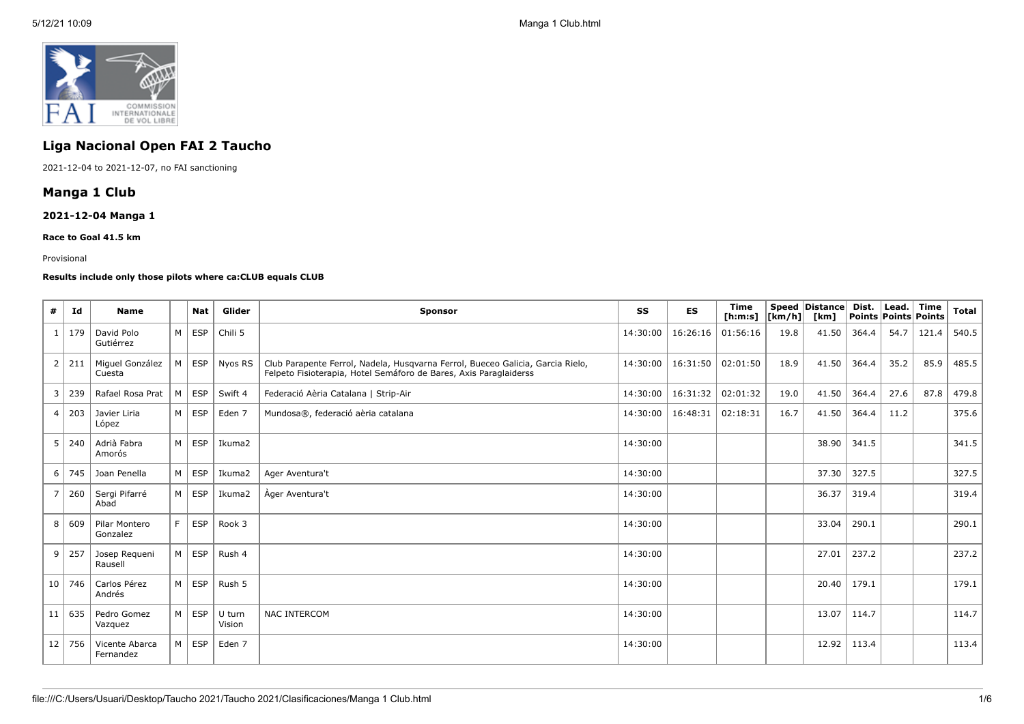

# **Liga Nacional Open FAI 2 Taucho**

2021-12-04 to 2021-12-07, no FAI sanctioning

## **Manga 1 Club**

## **2021-12-04 Manga 1**

#### **Race to Goal 41.5 km**

#### Provisional

## **Results include only those pilots where ca:CLUB equals CLUB**

| #               | Id           | <b>Name</b>                 |    | <b>Nat</b> | Glider           | <b>Sponsor</b>                                                                                                                                      | SS       | <b>ES</b> | <b>Time</b><br>[ <b>h</b> : <b>m</b> : <b>s</b> ] | $\lfloor \lfloor km/h \rfloor \rfloor$ | Speed   Distance  <br>[km] | Dist.<br><b>Points Points Points</b> | Lead. | Time  | <b>Total</b> |
|-----------------|--------------|-----------------------------|----|------------|------------------|-----------------------------------------------------------------------------------------------------------------------------------------------------|----------|-----------|---------------------------------------------------|----------------------------------------|----------------------------|--------------------------------------|-------|-------|--------------|
|                 | 179          | David Polo<br>Gutiérrez     | M  | <b>ESP</b> | Chili 5          |                                                                                                                                                     | 14:30:00 | 16:26:16  | 01:56:16                                          | 19.8                                   | 41.50                      | 364.4                                | 54.7  | 121.4 | 540.5        |
| 2               | 211          | Miguel González<br>Cuesta   | M  | <b>ESP</b> | Nyos RS          | Club Parapente Ferrol, Nadela, Husqvarna Ferrol, Bueceo Galicia, Garcia Rielo,<br>Felpeto Fisioterapia, Hotel Semáforo de Bares, Axis Paraglaiderss | 14:30:00 | 16:31:50  | 02:01:50                                          | 18.9                                   | 41.50                      | 364.4                                | 35.2  | 85.9  | 485.5        |
| 3 <sup>1</sup>  | 239          | Rafael Rosa Prat            | м  | <b>ESP</b> | Swift 4          | Federació Aèria Catalana   Strip-Air                                                                                                                | 14:30:00 | 16:31:32  | 02:01:32                                          | 19.0                                   | 41.50                      | 364.4                                | 27.6  | 87.8  | 479.8        |
|                 | 4 203        | Javier Liria<br>López       | M  | <b>ESP</b> | Eden 7           | Mundosa®, federació aèria catalana                                                                                                                  | 14:30:00 | 16:48:31  | 02:18:31                                          | 16.7                                   | 41.50                      | 364.4                                | 11.2  |       | 375.6        |
|                 | $5 \mid 240$ | Adrià Fabra<br>Amorós       | M  | <b>ESP</b> | Ikuma2           |                                                                                                                                                     | 14:30:00 |           |                                                   |                                        | 38.90                      | 341.5                                |       |       | 341.5        |
| 6 <sup>1</sup>  | 745          | Joan Penella                | M  | <b>ESP</b> | Ikuma2           | Ager Aventura't                                                                                                                                     | 14:30:00 |           |                                                   |                                        | 37.30                      | 327.5                                |       |       | 327.5        |
| $\overline{7}$  | 260          | Sergi Pifarré<br>Abad       | M  | <b>ESP</b> | Ikuma2           | Àger Aventura't                                                                                                                                     | 14:30:00 |           |                                                   |                                        | 36.37                      | 319.4                                |       |       | 319.4        |
| 8               | 609          | Pilar Montero<br>Gonzalez   | F. | <b>ESP</b> | Rook 3           |                                                                                                                                                     | 14:30:00 |           |                                                   |                                        | 33.04                      | 290.1                                |       |       | 290.1        |
|                 | 9   257      | Josep Requeni<br>Rausell    | M  | <b>ESP</b> | Rush 4           |                                                                                                                                                     | 14:30:00 |           |                                                   |                                        | 27.01                      | 237.2                                |       |       | 237.2        |
|                 | 10 746       | Carlos Pérez<br>Andrés      | M  | <b>ESP</b> | Rush 5           |                                                                                                                                                     | 14:30:00 |           |                                                   |                                        | 20.40                      | 179.1                                |       |       | 179.1        |
| 11              | 635          | Pedro Gomez<br>Vazquez      | M  | <b>ESP</b> | U turn<br>Vision | NAC INTERCOM                                                                                                                                        | 14:30:00 |           |                                                   |                                        | 13.07                      | 114.7                                |       |       | 114.7        |
| 12 <sub>1</sub> | 756          | Vicente Abarca<br>Fernandez | м  | <b>ESP</b> | Eden 7           |                                                                                                                                                     | 14:30:00 |           |                                                   |                                        | 12.92                      | 113.4                                |       |       | 113.4        |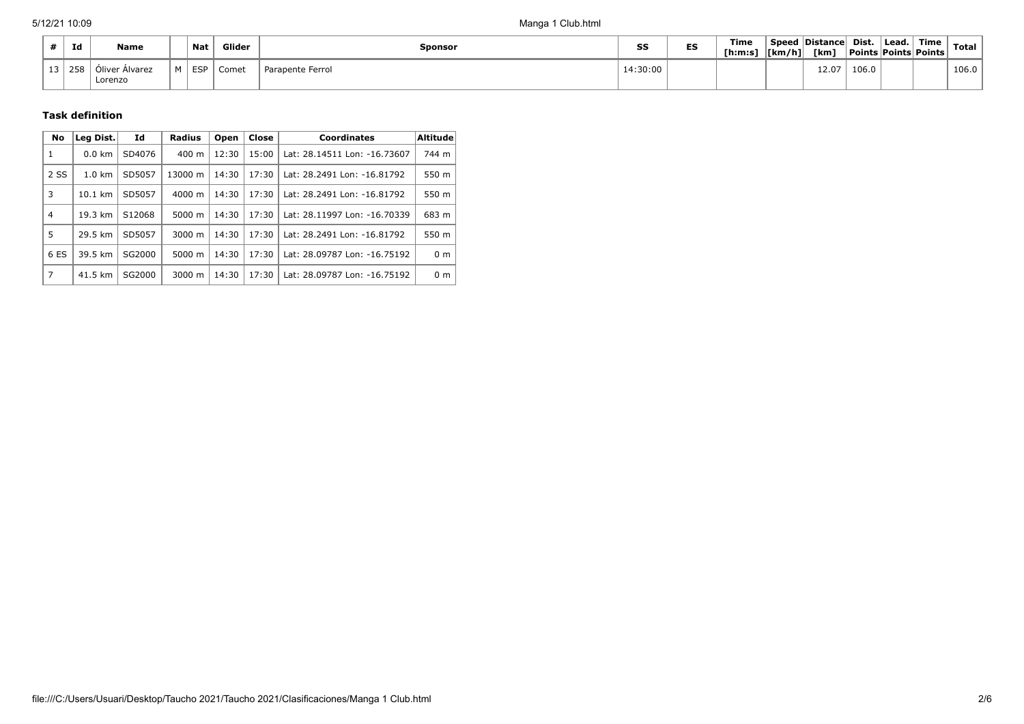|    | Id  | <b>Name</b>                      |          | <b>Nat</b> | Glider | Sponsor          | SS       | --<br>-9 | Time<br>[ <b>h</b> : <b>m</b> : <b>s</b> ] | [km/h] | Speed Distance<br>[km] | Dist. | Lead. | Time<br><b>Points Points Points</b> | Total |
|----|-----|----------------------------------|----------|------------|--------|------------------|----------|----------|--------------------------------------------|--------|------------------------|-------|-------|-------------------------------------|-------|
| ∸∸ | 258 | r Alvarez<br>Jliver .<br>Lorenzo | <b>A</b> | <b>ESP</b> | Comet  | Parapente Ferrol | 14:30:00 |          |                                            |        | 12.07                  | 106.0 |       |                                     | 106.0 |

## **Task definition**

| No             | Leg Dist.         | Id     | <b>Radius</b>      | Open  | Close | <b>Coordinates</b>           | <b>Altitude</b> |
|----------------|-------------------|--------|--------------------|-------|-------|------------------------------|-----------------|
| 1              | $0.0 \text{ km}$  | SD4076 | $400 \text{ m}$    | 12:30 | 15:00 | Lat: 28.14511 Lon: -16.73607 | 744 m           |
| 2 SS           | $1.0 \text{ km}$  | SD5057 | 13000 m            | 14:30 | 17:30 | Lat: 28.2491 Lon: -16.81792  | 550 m           |
| 3              | $10.1 \text{ km}$ | SD5057 | $4000 \; \text{m}$ | 14:30 | 17:30 | Lat: 28.2491 Lon: -16.81792  | 550 m           |
| $\overline{4}$ | 19.3 km           | S12068 | 5000 m             | 14:30 | 17:30 | Lat: 28.11997 Lon: -16.70339 | 683 m           |
| 5              | 29.5 km           | SD5057 | $3000 \; \text{m}$ | 14:30 | 17:30 | Lat: 28.2491 Lon: -16.81792  | 550 m           |
| 6 ES           | 39.5 km           | SG2000 | 5000 m             | 14:30 | 17:30 | Lat: 28.09787 Lon: -16.75192 | 0 <sub>m</sub>  |
| $\overline{7}$ | 41.5 km           | SG2000 | 3000 m             | 14:30 | 17:30 | Lat: 28.09787 Lon: -16.75192 | 0 <sub>m</sub>  |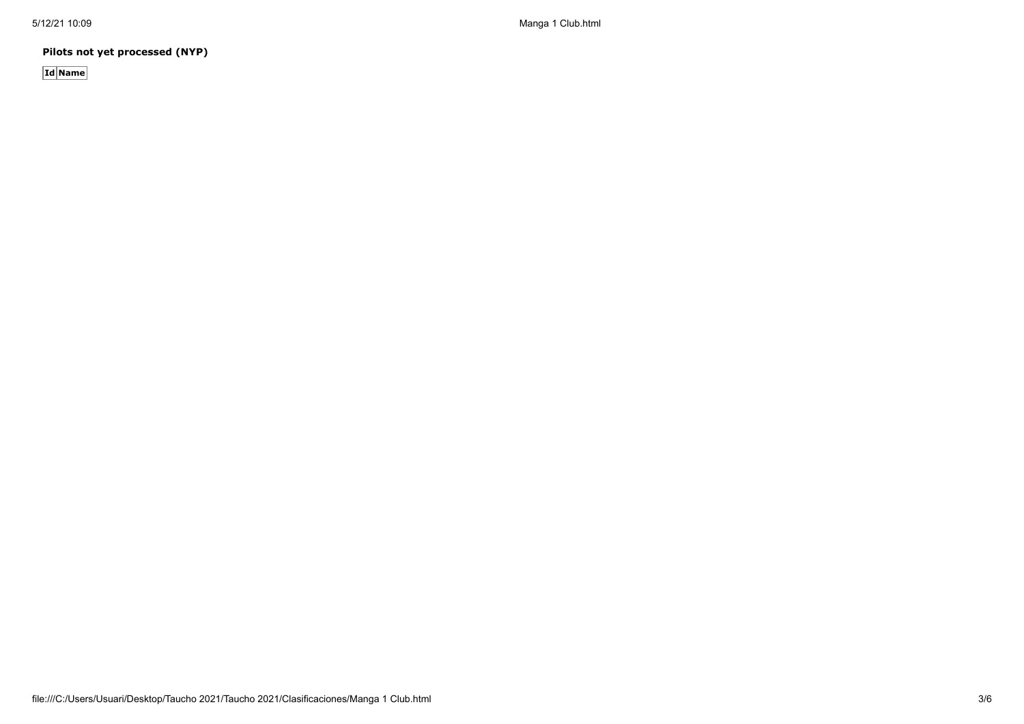5/12/21 10:09 Manga 1 Club.html

**Pilots not yet processed (NYP)**

**Id Name**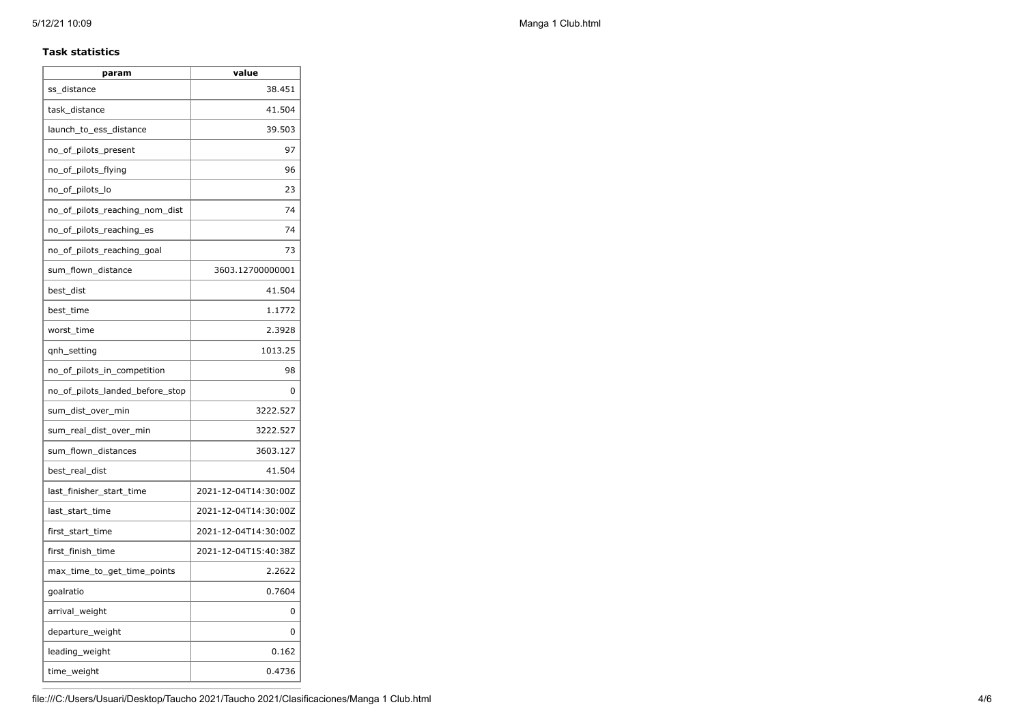### **Task statistics**

| param                           | value                |
|---------------------------------|----------------------|
| ss distance                     | 38.451               |
| task distance                   | 41.504               |
| launch to ess distance          | 39.503               |
| no_of_pilots_present            | 97                   |
| no_of_pilots_flying             | 96                   |
| no_of_pilots_lo                 | 23                   |
| no_of_pilots_reaching_nom_dist  | 74                   |
| no_of_pilots_reaching_es        | 74                   |
| no_of_pilots_reaching_goal      | 73                   |
| sum_flown_distance              | 3603.12700000001     |
| best_dist                       | 41.504               |
| best_time                       | 1.1772               |
| worst_time                      | 2.3928               |
| qnh_setting                     | 1013.25              |
| no_of_pilots_in_competition     | 98                   |
| no_of_pilots_landed_before_stop | 0                    |
| sum_dist_over_min               | 3222.527             |
| sum_real_dist_over_min          | 3222.527             |
| sum_flown_distances             | 3603.127             |
| best_real_dist                  | 41.504               |
| last_finisher_start_time        | 2021-12-04T14:30:00Z |
| last_start_time                 | 2021-12-04T14:30:00Z |
| first_start_time                | 2021-12-04T14:30:00Z |
| first_finish_time               | 2021-12-04T15:40:38Z |
| max_time_to_get_time_points     | 2.2622               |
| goalratio                       | 0.7604               |
| arrival_weight                  | 0                    |
| departure_weight                | 0                    |
| leading_weight                  | 0.162                |
| time_weight                     | 0.4736               |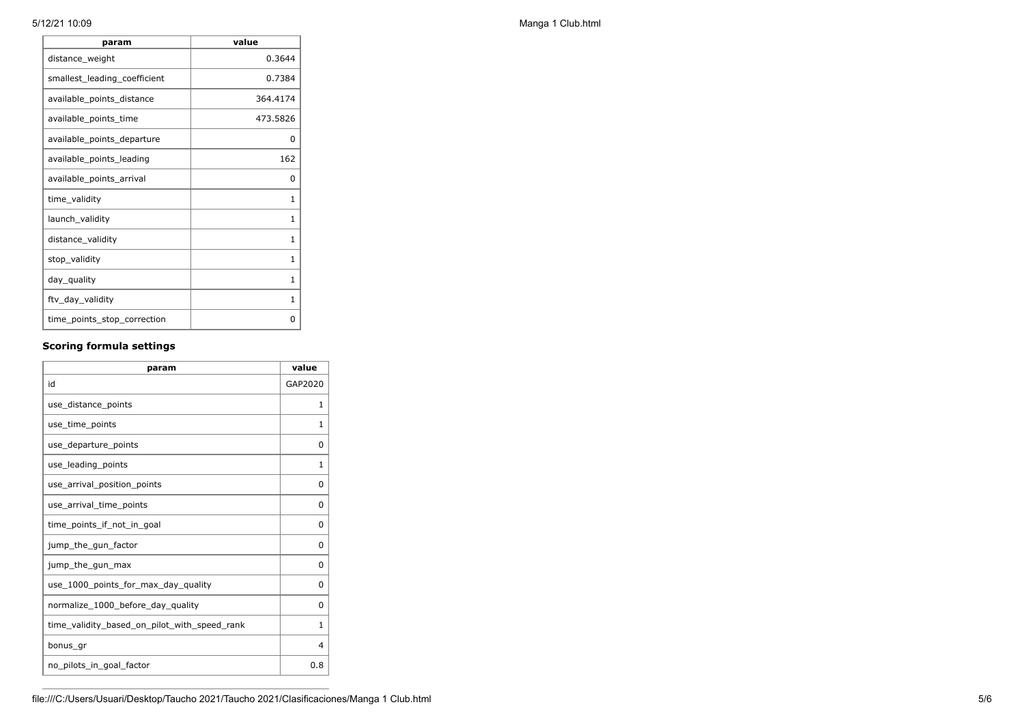| param                        | value    |
|------------------------------|----------|
| distance_weight              | 0.3644   |
| smallest_leading_coefficient | 0.7384   |
| available_points_distance    | 364.4174 |
| available_points_time        | 473.5826 |
| available_points_departure   | 0        |
| available_points_leading     | 162      |
| available_points_arrival     | 0        |
| time_validity                | 1        |
| launch_validity              | 1        |
| distance_validity            | 1        |
| stop_validity                | 1        |
| day_quality                  | 1        |
| ftv_day_validity             | 1        |
| time_points_stop_correction  | 0        |

## **Scoring formula settings**

| param                                        | value        |
|----------------------------------------------|--------------|
| id                                           | GAP2020      |
| use distance points                          | 1            |
| use_time_points                              | 1            |
| use_departure_points                         | 0            |
| use_leading_points                           | $\mathbf{1}$ |
| use arrival position points                  | 0            |
| use arrival time points                      | 0            |
| time_points_if_not_in_goal                   | $\Omega$     |
| jump_the_gun_factor                          | $\Omega$     |
| jump_the_gun_max                             | $\Omega$     |
| use_1000_points_for_max_day_quality          | $\Omega$     |
| normalize_1000_before_day_quality            | 0            |
| time_validity_based_on_pilot_with_speed_rank | 1            |
| bonus gr                                     | 4            |
| no pilots in goal factor                     | 0.8          |